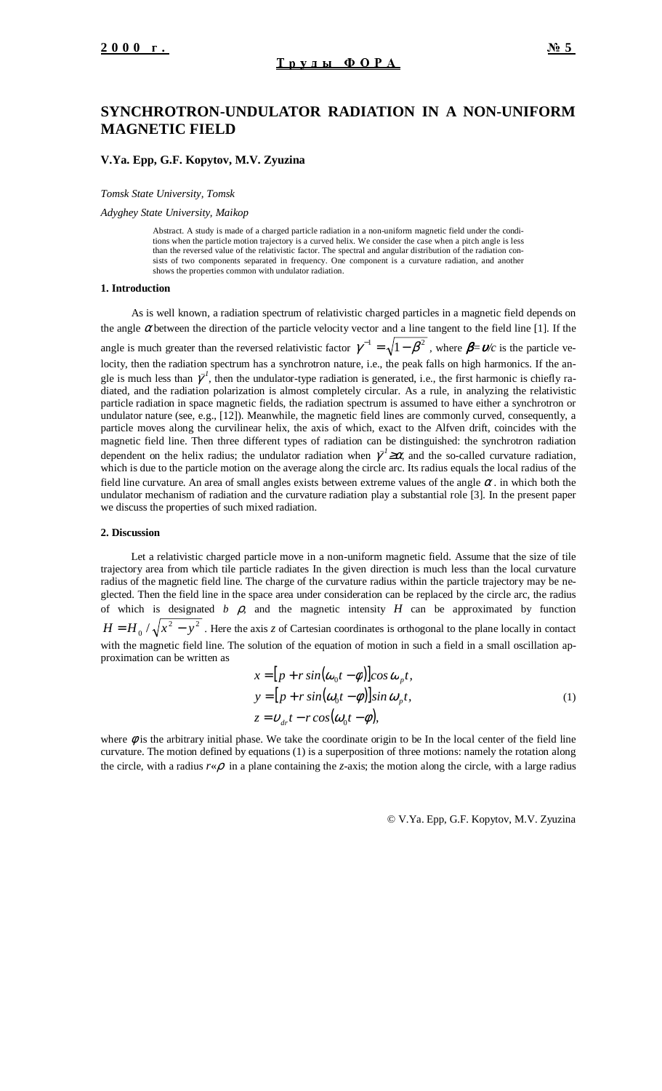# **SYNCHROTRON-UNDULATOR RADIATION IN A NON-UNIFORM MAGNETIC FIELD**

### **V.Ya. Epp, G.F. Kopytov, M.V. Zyuzina**

*Tomsk State University, Tomsk*

*Adyghey State University, Maikop*

Abstract. A study is made of a charged particle radiation in a non-uniform magnetic field under the conditions when the particle motion trajectory is a curved helix. We consider the case when a pitch angle is less than the reversed value of the relativistic factor. The spectral and angular distribution of the radiation consists of two components separated in frequency. One component is a curvature radiation, and another shows the properties common with undulator radiation.

#### **1. Introduction**

As is well known, a radiation spectrum of relativistic charged particles in a magnetic field depends on the angle  $\alpha$  between the direction of the particle velocity vector and a line tangent to the field line [1]. If the angle is much greater than the reversed relativistic factor  $\gamma^{-1} = \sqrt{1 - \beta^2}$ , where  $\beta = v/c$  is the particle velocity, then the radiation spectrum has a synchrotron nature, i.e., the peak falls on high harmonics. If the angle is much less than  $\gamma^I$ , then the undulator-type radiation is generated, i.e., the first harmonic is chiefly radiated, and the radiation polarization is almost completely circular. As a rule, in analyzing the relativistic particle radiation in space magnetic fields, the radiation spectrum is assumed to have either a synchrotron or undulator nature (see, e.g., [12]). Meanwhile, the magnetic field lines are commonly curved, consequently, a particle moves along the curvilinear helix, the axis of which, exact to the Alfven drift, coincides with the magnetic field line. Then three different types of radiation can be distinguished: the synchrotron radiation dependent on the helix radius; the undulator radiation when  $\chi^2 \geq \alpha$ , and the so-called curvature radiation, which is due to the particle motion on the average along the circle arc. Its radius equals the local radius of the field line curvature. An area of small angles exists between extreme values of the angle  $\alpha$ . in which both the undulator mechanism of radiation and the curvature radiation play a substantial role [3]*.* In the present paper we discuss the properties of such mixed radiation.

# **2. Discussion**

Let a relativistic charged particle move in a non-uniform magnetic field. Assume that the size of tile trajectory area from which tile particle radiates In the given direction is much less than the local curvature radius of the magnetic field line. The charge of the curvature radius within the particle trajectory may be neglected. Then the field line in the space area under consideration can be replaced by the circle arc, the radius of which is designated  $b$   $\beta$ , and the magnetic intensity  $H$  can be approximated by function  $H = H_0 / \sqrt{x^2 - y^2}$ . Here the axis *z* of Cartesian coordinates is orthogonal to the plane locally in contact with the magnetic field line. The solution of the equation of motion in such a field in a small oscillation approximation can be written as

$$
x = [p + r \sin(\omega_0 t - \phi)]\cos \omega_p t,
$$
  
\n
$$
y = [p + r \sin(\omega_0 t - \phi)]\sin \omega_p t,
$$
  
\n
$$
z = v_{dr}t - r \cos(\omega_0 t - \phi),
$$
\n(1)

where  $\phi$  is the arbitrary initial phase. We take the coordinate origin to be In the local center of the field line curvature. The motion defined by equations (1) is a superposition of three motions: namely the rotation along the circle, with a radius  $r \notin \rho$  in a plane containing the *z*-axis; the motion along the circle, with a large radius

© V.Ya. Epp, G.F. Kopytov, M.V. Zyuzina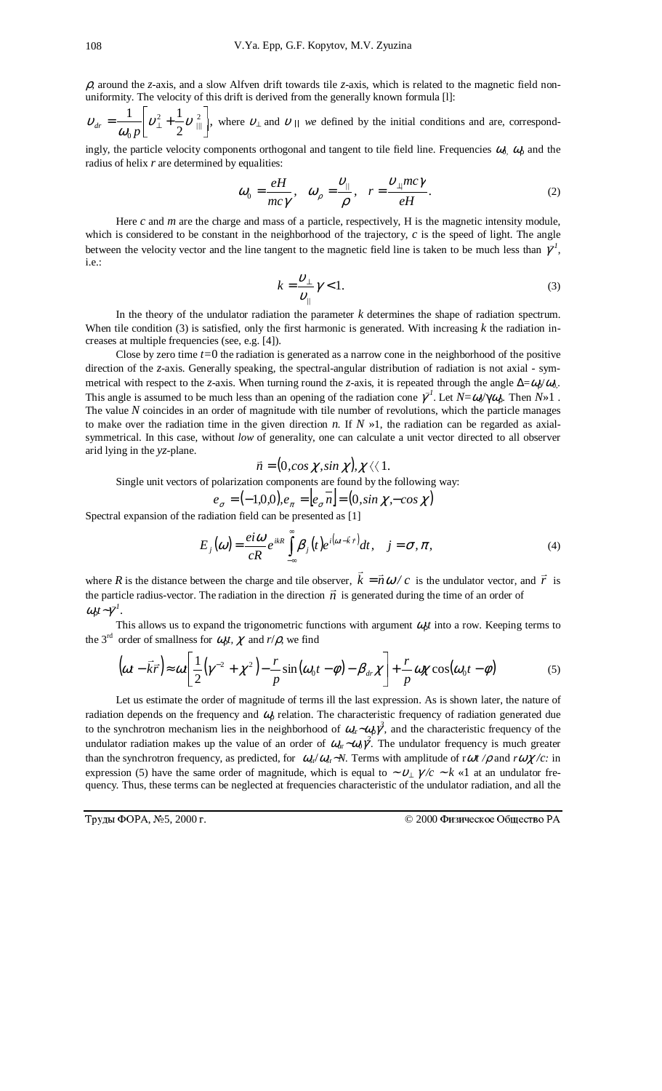ρ*,* around the *z*-axis, and a slow Alfven drift towards tile *z*-axis, which is related to the magnetic field nonuniformity. The velocity of this drift is derived from the generally known formula [l]:

 $_{dr} = \frac{1}{\omega_0 p} \left[ v_{\perp}^2 + \frac{1}{2} v_{\parallel \parallel}^2 \right],$  $_{0}p$   $_{2}^{+}$  2  $\frac{1}{\nu}$   $\begin{bmatrix} v^2 + 1 \\ v^2 \end{bmatrix}$  $v_{dr} = \frac{v_{\perp}}{\omega_0} v_{\perp}^2 + \frac{1}{2} v_{\parallel}^2$ , where  $v_{\perp}$  and  $v_{\parallel}$  we defined by the initial conditions and are, correspond-

ingly, the particle velocity components orthogonal and tangent to tile field line. Frequencies  $\omega_0$ ,  $\omega_p$  and the radius of helix *r* are determined by equalities:

$$
\omega_0 = \frac{eH}{mc\gamma}, \quad \omega_\rho = \frac{v_{\parallel}}{\rho}, \quad r = \frac{v_{\perp}mc\gamma}{eH}.
$$
 (2)

Here *c* and *m* are the charge and mass of a particle, respectively, H is the magnetic intensity module, which is considered to be constant in the neighborhood of the trajectory, *c* is the speed of light. The angle between the velocity vector and the line tangent to the magnetic field line is taken to be much less than  $\bar{\gamma}^I$ , i.e.:

$$
k = \frac{\upsilon_{\perp}}{\upsilon_{\parallel}} \gamma < 1. \tag{3}
$$

In the theory of the undulator radiation the parameter *k* determines the shape of radiation spectrum. When tile condition (3) is satisfied, only the first harmonic is generated. With increasing *k* the radiation increases at multiple frequencies (see, e.g. [4]).

Close by zero time *t=*0 the radiation is generated as a narrow cone in the neighborhood of the positive direction of the *z*-axis. Generally speaking, the spectral-angular distribution of radiation is not axial - symmetrical with respect to the *z*-axis. When turning round the *z*-axis, it is repeated through the angle  $\Delta = \omega_0 / \omega_0$ . This angle is assumed to be much less than an opening of the radiation cone  $\gamma^I$ . Let  $N = \omega / \gamma \omega_p$ . Then  $N \gg 1$ . The value *N* coincides in an order of magnitude with tile number of revolutions, which the particle manages to make over the radiation time in the given direction *n*. If  $N \gg 1$ , the radiation can be regarded as axialsymmetrical. In this case, without *low* of generality, one can calculate a unit vector directed to all observer arid lying in the *yz*-plane.

$$
\vec{n} = (0, \cos \chi, \sin \chi), \chi \langle \langle 1 \rangle
$$

 $\vec{n} = (0, \cos \chi, \sin \chi), \chi \langle \chi 1$ .<br>Single unit vectors of polarization components are found by the following way:

$$
e_{\sigma} = (-1,0,0), e_{\pi} = [e_{\sigma} \overline{n}] = (0, \sin \chi, -\cos \chi)
$$

Spectral expansion of the radiation field can be presented as [1]

$$
E_j(\omega) = \frac{ei\omega}{cR} e^{ikR} \int_{-\infty}^{\infty} \beta_j(t) e^{i(\omega - \vec{k}\cdot\vec{r})} dt, \quad j = \sigma, \pi,
$$
 (4)

where *R* is the distance between the charge and tile observer,  $\vec{k} = \vec{n}\omega/c$  is the undulator vector, and  $\vec{r}$  is the particle radius-vector. The radiation in the direction  $\vec{n}$  is generated during the time of an order of  $ω_0 t ∼ γ<sup>1</sup>$ .

This allows us to expand the trigonometric functions with argument <sup>ω</sup>ρ*t* into a row. Keeping terms to the 3<sup>rd</sup> order of smallness for  $\omega_p t$ ,  $\chi$  and  $r/\rho$ , we find

$$
\left(\omega t - \vec{k}\vec{r}\right) \approx \omega t \left[ \frac{1}{2} \left(\gamma^{-2} + \chi^2\right) - \frac{r}{p} \sin\left(\omega_0 t - \phi\right) - \beta_{dr} \chi \right] + \frac{r}{p} \omega \chi \cos(\omega_0 t - \phi) \tag{5}
$$

Let us estimate the order of magnitude of terms ill the last expression. As is shown later, the nature of radiation depends on the frequency and  $\omega_p$  relation. The characteristic frequency of radiation generated due to the synchrotron mechanism lies in the neighborhood of  $\omega_{\rm s}$ ∼ $\omega_{\rm p}$ <sup>3</sup>, and the characteristic frequency of the undulator radiation makes up the value of an order of  $ω_{\text{ur}} \sim ω_0 \gamma^2$ . The undulator frequency is much greater than the synchrotron frequency, as predicted, for  $\omega_{\rm r}/\omega_{\rm s}r$ ∼*N*. Terms with amplitude of r $\omega t / \rho$  and r $\omega \chi / c$ : in expression (5) have the same order of magnitude, which is equal to ~  $v_{\perp} \gamma/c \sim k \ll 1$  at an undulator frequency*.* Thus, these terms can be neglected at frequencies characteristic of the undulator radiation, and all the

Труды ФОРА, №

<sup>© 2000</sup> Физическое Общество РА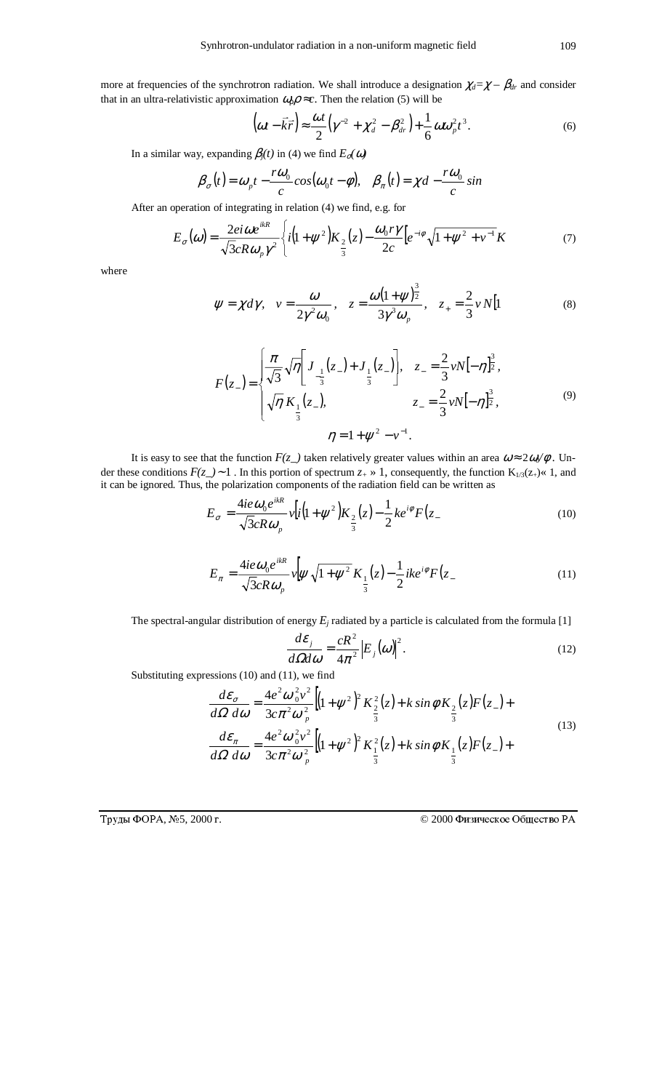more at frequencies of the synchrotron radiation. We shall introduce a designation  $\chi_d = \chi - \beta_d r$  and consider that in an ultra-relativistic approximation  $\omega_p \rho \approx c$ . Then the relation (5) will be

$$
\left(\omega t - \vec{k}\vec{r}\right) \approx \frac{\omega t}{2} \left(\gamma^{-2} + \chi_d^2 - \beta_{dr}^2\right) + \frac{1}{6} \omega \omega_p^2 t^3.
$$
 (6)

In a similar way, expanding  $\beta_j(t)$  in (4) we find  $E_{\sigma}(\omega)$ 

$$
\beta_{\sigma}(t) = \omega_{\rho}t - \frac{r\omega_0}{c}\cos(\omega_0 t - \phi), \quad \beta_{\pi}(t) = \chi d - \frac{r\omega_0}{c}\sin
$$

After an operation of integrating in relation (4) we find, e.g. for

$$
E_{\sigma}(\omega) = \frac{2ei\omega e^{ikR}}{\sqrt{3}cR\omega_{p}\gamma^{2}} \left\{ i\left(1+\psi^{2}\right)K_{\frac{2}{3}}(z) - \frac{\omega_{0}r\gamma}{2c} \left[e^{-i\phi}\sqrt{1+\psi^{2}+v^{-1}}K\right] \right\}
$$
(7)

where

$$
\psi = \chi d\gamma, \quad v = \frac{\omega}{2\gamma^2 \omega_0}, \quad z = \frac{\omega(1+\psi)^{\frac{3}{2}}}{3\gamma^3 \omega_p}, \quad z_+ = \frac{2}{3}vN[1 \tag{8}
$$

$$
F(z_{-}) = \begin{cases} \frac{\pi}{\sqrt{3}} \sqrt{\eta} \Bigg[ J_{-\frac{1}{3}}(z_{-}) + J_{\frac{1}{3}}(z_{-}) \Bigg], & z_{-} = \frac{2}{3} vN[-\eta]_{2}^{\frac{3}{2}}, \\ \sqrt{\eta} K_{\frac{1}{3}}(z_{-}), & z_{-} = \frac{2}{3} vN[-\eta]_{2}^{\frac{3}{2}}, \\ \eta = 1 + \psi^{2} - v^{-1}. \end{cases}
$$
(9)

It is easy to see that the function  $F(z)$  taken relatively greater values within an area  $\omega \approx 2\omega/\phi$ . Under these conditions *F(z\_)*<sup>∼</sup> 1 . In this portion of spectrum *z+* » 1, consequently, the function K1/3(z+)« 1, and it can be ignored*.* Thus, the polarization components of the radiation field can be written as

*ikR*

$$
E_{\sigma} = \frac{4ie\omega_0 e^{ikR}}{\sqrt{3}cR\omega_p} v[i(1+\psi^2)K_{\frac{2}{3}}(z) - \frac{1}{2}ke^{i\phi}F(z_{-})
$$
 (10)

$$
E_{\pi} = \frac{4ie\omega_0 e^{ikR}}{\sqrt{3}cR\omega_p} v \left[ \psi \sqrt{1 + \psi^2} K_{\frac{1}{3}}(z) - \frac{1}{2}ike^{i\phi} F(z) \right] \tag{11}
$$

The spectral-angular distribution of energy  $E_j$  radiated by a particle is calculated from the formula [1]

$$
\frac{d\varepsilon_j}{d\Omega d\omega} = \frac{cR^2}{4\pi^2} \Big| E_j(\omega) \Big|^2. \tag{12}
$$

Substituting expressions (10) and (11), we find

$$
\frac{d\varepsilon_{\sigma}}{d\Omega \, d\omega} = \frac{4e^2 \omega_0^2 v^2}{3c\pi^2 \omega_p^2} \Big[ (1 + \psi^2)^2 K_{\frac{2}{3}}^2(z) + k \sin\phi K_{\frac{2}{3}}(z) F(z_{-}) +
$$
\n
$$
\frac{d\varepsilon_{\pi}}{d\Omega \, d\omega} = \frac{4e^2 \omega_0^2 v^2}{3c\pi^2 \omega_p^2} \Big[ (1 + \psi^2)^2 K_{\frac{1}{3}}^2(z) + k \sin\phi K_{\frac{1}{3}}(z) F(z_{-}) +
$$
\n(13)

 $T$ руды ФОРА, №

© 2000 Физическое Общество РА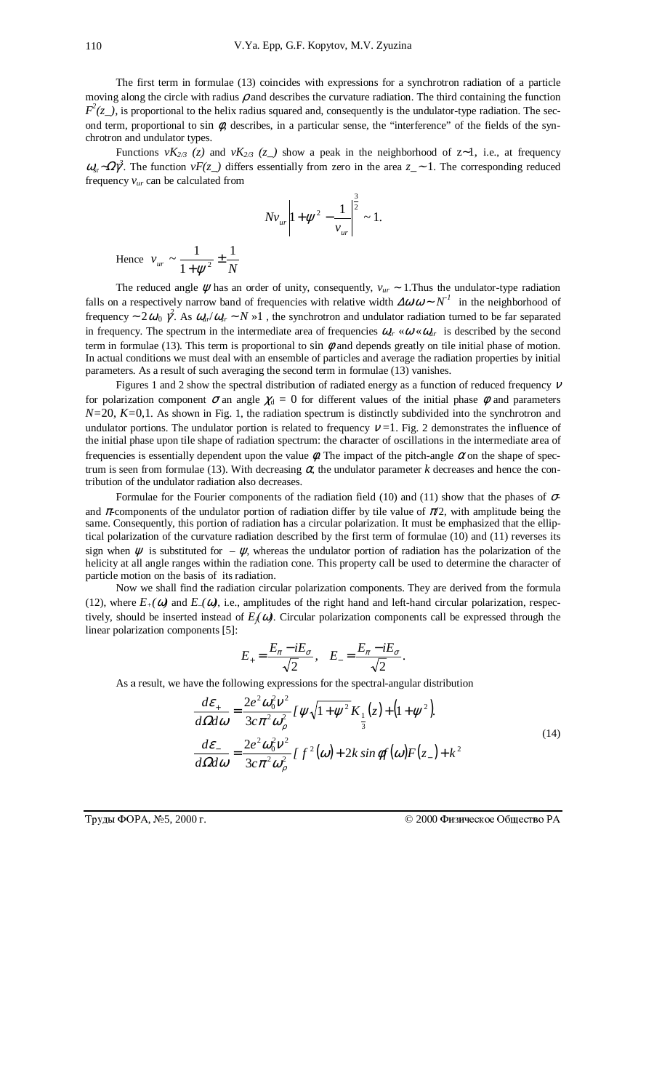The first term in formulae (13) coincides with expressions for a synchrotron radiation of a particle moving along the circle with radius  $\rho$  and describes the curvature radiation. The third containing the function  $F^2(z)$ , is proportional to the helix radius squared and, consequently is the undulator-type radiation. The second term, proportional to sin  $\phi$ , describes, in a particular sense, the "interference" of the fields of the synchrotron and undulator types.

Functions  $vK_{2/3}$  (z) and  $vK_{2/3}$  (z<sub>-</sub>) show a peak in the neighborhood of z~1, i.e., at frequency <sup>ω</sup>sr∼Ωγ*<sup>3</sup>* . The function *vF(z\_)* differs essentially from zero in the area *z\_*<sup>∼</sup> 1. The corresponding reduced frequency  $v_{ur}$  can be calculated from

$$
Nv_{ur} \left| 1 + \psi^2 - \frac{1}{v_{ur}} \right|^{\frac{3}{2}} \sim 1.
$$

Hence  $v_{ur} \sim \frac{1}{1 + \psi^2} \pm \frac{1}{N}$  $\frac{1}{+\psi^2}$ 

The reduced angle <sup>ψ</sup> has an order of unity, consequently, *vur* ∼ 1.Thus the undulator-type radiation falls on a respectively narrow band of frequencies with relative width  $\Delta\omega/\omega \sim N^{-1}$  in the neighborhood of frequency ~  $2\omega_0 \hat{\gamma}$ . As  $\omega_{\mu\nu}/\omega_{\nu} \sim N \gg 1$  , the synchrotron and undulator radiation turned to be far separated in frequency. The spectrum in the intermediate area of frequencies  $\omega_r \ll \omega \ll \omega_u$  is described by the second term in formulae (13). This term is proportional to sin  $\phi$  and depends greatly on tile initial phase of motion. In actual conditions we must deal with an ensemble of particles and average the radiation properties by initial parameters. As a result of such averaging the second term in formulae (13) vanishes.

Figures 1 and 2 show the spectral distribution of radiated energy as a function of reduced frequency  $V$ for polarization component  $\sigma$  an angle  $\chi_d = 0$  for different values of the initial phase  $\phi$  and parameters *N*=20, *K*=0,1. As shown in Fig. 1, the radiation spectrum is distinctly subdivided into the synchrotron and undulator portions. The undulator portion is related to frequency  $v = 1$ . Fig. 2 demonstrates the influence of the initial phase upon tile shape of radiation spectrum: the character of oscillations in the intermediate area of frequencies is essentially dependent upon the value  $\phi$ . The impact of the pitch-angle  $\alpha$  on the shape of spectrum is seen from formulae (13). With decreasing  $\alpha$ , the undulator parameter *k* decreases and hence the contribution of the undulator radiation also decreases.

Formulae for the Fourier components of the radiation field (10) and (11) show that the phases of  $\sigma$ and  $\pi$ -components of the undulator portion of radiation differ by tile value of  $\pi/2$ , with amplitude being the same. Consequently, this portion of radiation has a circular polarization. It must be emphasized that the elliptical polarization of the curvature radiation described by the first term of formulae (10) and (11) reverses its sign when  $\psi$  is substituted for –  $\psi$ , whereas the undulator portion of radiation has the polarization of the helicity at all angle ranges within the radiation cone. This property call be used to determine the character of particle motion on the basis of its radiation.

Now we shall find the radiation circular polarization components. They are derived from the formula (12), where  $E_+(\omega)$  and  $E_-(\omega)$ , i.e., amplitudes of the right hand and left-hand circular polarization, respectively, should be inserted instead of  $E_j(\omega)$ . Circular polarization components call be expressed through the linear polarization components [5]:

$$
E_{+} = \frac{E_{\pi} - iE_{\sigma}}{\sqrt{2}}, \quad E_{-} = \frac{E_{\pi} - iE_{\sigma}}{\sqrt{2}}.
$$

As a result, we have the following expressions for the spectral-angular distribution

$$
\frac{d\varepsilon_{+}}{d\Omega d\omega} = \frac{2e^2 \omega_0^2 v^2}{3c\pi^2 \omega_\rho^2} I \psi \sqrt{1 + \psi^2} K_{\frac{1}{3}}(z) + (1 + \psi^2).
$$
\n
$$
\frac{d\varepsilon_{-}}{d\Omega d\omega} = \frac{2e^2 \omega_0^2 v^2}{3c\pi^2 \omega_\rho^2} I f^2(\omega) + 2k \sin \phi f(\omega) F(z_{-}) + k^2
$$
\n(14)

Труды ФОРА, №

| 5, 2000 г. | © 2000 Физическое Общество РА |
|------------|-------------------------------|
|            |                               |